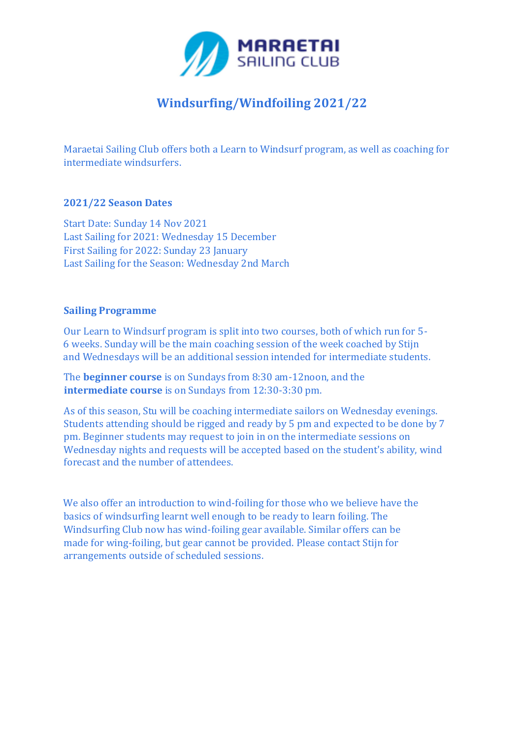

# **Windsurfing/Windfoiling 2021/22**

Maraetai Sailing Club offers both a Learn to Windsurf program, as well as coaching for intermediate windsurfers.

#### **2021/22 Season Dates**

Start Date: Sunday 14 Nov 2021 Last Sailing for 2021: Wednesday 15 December First Sailing for 2022: Sunday 23 January Last Sailing for the Season: Wednesday 2nd March

## **Sailing Programme**

Our Learn to Windsurf program is split into two courses, both of which run for 5- 6 weeks. Sunday will be the main coaching session of the week coached by Stijn and Wednesdays will be an additional session intended for intermediate students.

The **beginner course** is on Sundays from 8:30 am-12noon, and the **intermediate course** is on Sundays from 12:30-3:30 pm.

As of this season, Stu will be coaching intermediate sailors on Wednesday evenings. Students attending should be rigged and ready by 5 pm and expected to be done by 7 pm. Beginner students may request to join in on the intermediate sessions on Wednesday nights and requests will be accepted based on the student's ability, wind forecast and the number of attendees.

We also offer an introduction to wind-foiling for those who we believe have the basics of windsurfing learnt well enough to be ready to learn foiling. The Windsurfing Club now has wind-foiling gear available. Similar offers can be made for wing-foiling, but gear cannot be provided. Please contact Stijn for arrangements outside of scheduled sessions.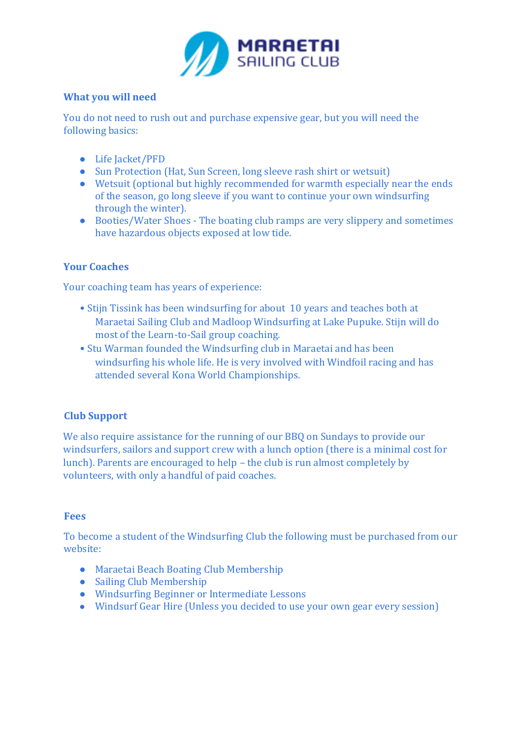

### **What you will need**

You do not need to rush out and purchase expensive gear, but you will need the following basics:

- Life Jacket/PFD
- Sun Protection (Hat, Sun Screen, long sleeve rash shirt or wetsuit)
- Wetsuit (optional but highly recommended for warmth especially near the ends of the season, go long sleeve if you want to continue your own windsurfing through the winter).
- Booties/Water Shoes The boating club ramps are very slippery and sometimes have hazardous objects exposed at low tide.

## **Your Coaches**

Your coaching team has years of experience:

- Stijn Tissink has been windsurfing for about 10 years and teaches both at Maraetai Sailing Club and Madloop Windsurfing at Lake Pupuke. Stijn will do most of the Learn-to-Sail group coaching.
- Stu Warman founded the Windsurfing club in Maraetai and has been windsurfing his whole life. He is very involved with Windfoil racing and has attended several Kona World Championships.

#### **Club Support**

We also require assistance for the running of our BBQ on Sundays to provide our windsurfers, sailors and support crew with a lunch option (there is a minimal cost for lunch). Parents are encouraged to help – the club is run almost completely by volunteers, with only a handful of paid coaches.

#### **Fees**

To become a student of the Windsurfing Club the following must be purchased from our website:

- Maraetai Beach Boating Club Membership
- Sailing Club Membership
- Windsurfing Beginner or Intermediate Lessons
- Windsurf Gear Hire (Unless you decided to use your own gear every session)